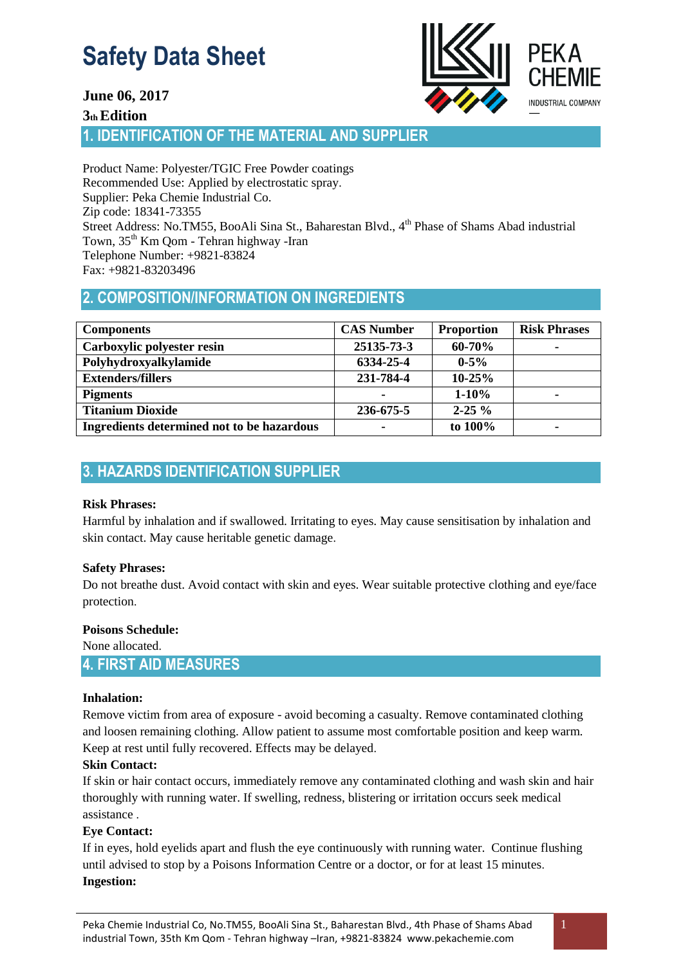

## **June 06, 2017**

**3th Edition** 

**1. IDENTIFICATION OF THE MATERIAL AND SUPPLIER** 

Product Name: Polyester/TGIC Free Powder coatings Recommended Use: Applied by electrostatic spray. Supplier: Peka Chemie Industrial Co. Zip code: 18341-73355 Street Address: No.TM55, BooAli Sina St., Baharestan Blvd., 4<sup>th</sup> Phase of Shams Abad industrial Town, 35th Km Qom - Tehran highway -Iran Telephone Number: +9821-83824 Fax: +9821-83203496

# **2. COMPOSITION/INFORMATION ON INGREDIENTS**

| <b>Components</b>                          | <b>CAS Number</b>        | <b>Proportion</b> | <b>Risk Phrases</b> |
|--------------------------------------------|--------------------------|-------------------|---------------------|
| Carboxylic polyester resin                 | 25135-73-3               | 60-70%            | ۰                   |
| Polyhydroxyalkylamide                      | 6334-25-4                | $0 - 5\%$         |                     |
| <b>Extenders/fillers</b>                   | 231-784-4                | $10 - 25%$        |                     |
| <b>Pigments</b>                            | -                        | $1 - 10\%$        | ۰                   |
| <b>Titanium Dioxide</b>                    | 236-675-5                | $2 - 25 \%$       |                     |
| Ingredients determined not to be hazardous | $\overline{\phantom{0}}$ | to 100%           | ۰                   |

# **3. HAZARDS IDENTIFICATION SUPPLIER**

## **Risk Phrases:**

Harmful by inhalation and if swallowed. Irritating to eyes. May cause sensitisation by inhalation and skin contact. May cause heritable genetic damage.

## **Safety Phrases:**

Do not breathe dust. Avoid contact with skin and eyes. Wear suitable protective clothing and eye/face protection.

## **Poisons Schedule:**

None allocated.

## **4. FIRST AID MEASURES**

## **Inhalation:**

Remove victim from area of exposure - avoid becoming a casualty. Remove contaminated clothing and loosen remaining clothing. Allow patient to assume most comfortable position and keep warm. Keep at rest until fully recovered. Effects may be delayed.

## **Skin Contact:**

If skin or hair contact occurs, immediately remove any contaminated clothing and wash skin and hair thoroughly with running water. If swelling, redness, blistering or irritation occurs seek medical assistance .

## **Eye Contact:**

If in eyes, hold eyelids apart and flush the eye continuously with running water. Continue flushing until advised to stop by a Poisons Information Centre or a doctor, or for at least 15 minutes. **Ingestion:**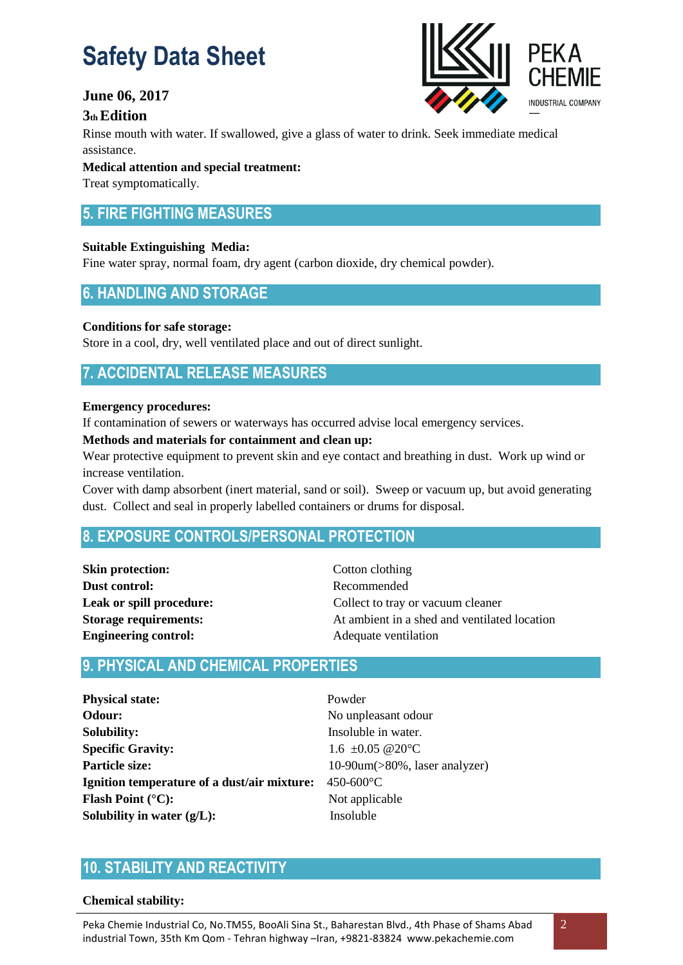## **June 06, 2017**

## **3th Edition**

Rinse mouth with water. If swallowed, give a glass of water to drink. Seek immediate medical assistance.

## **Medical attention and special treatment:**

Treat symptomatically.

# **5. FIRE FIGHTING MEASURES**

## **Suitable Extinguishing Media:**

Fine water spray, normal foam, dry agent (carbon dioxide, dry chemical powder).

## **6. HANDLING AND STORAGE**

## **Conditions for safe storage:**

Store in a cool, dry, well ventilated place and out of direct sunlight.

# **7. ACCIDENTAL RELEASE MEASURES**

#### **Emergency procedures:**

If contamination of sewers or waterways has occurred advise local emergency services.

#### **Methods and materials for containment and clean up:**

Wear protective equipment to prevent skin and eye contact and breathing in dust. Work up wind or increase ventilation.

Cover with damp absorbent (inert material, sand or soil). Sweep or vacuum up, but avoid generating dust. Collect and seal in properly labelled containers or drums for disposal.

## **8. EXPOSURE CONTROLS/PERSONAL PROTECTION**

**Skin protection:** Cotton clothing **Dust control:** Recommended **Engineering control:** Adequate ventilation

**Leak or spill procedure:** Collect to tray or vacuum cleaner **Storage requirements:** At ambient in a shed and ventilated location

## **9. PHYSICAL AND CHEMICAL PROPERTIES**

**Physical state:** Powder **Odour:** No unpleasant odour **Solubility:** Insoluble in water. **Specific Gravity:** 1.6 ±0.05  $@20^{\circ}$ C **Particle size:** 10-90um(>80%, laser analyzer) **Ignition temperature of a dust/air mixture:** 450-600°C **Flash Point (°C):** Not applicable **Solubility in water (g/L):** Insoluble

# **10. STABILITY AND REACTIVITY**

#### **Chemical stability:**

Peka Chemie Industrial Co, No.TM55, BooAli Sina St., Baharestan Blvd., 4th Phase of Shams Abad industrial Town, 35th Km Qom - Tehran highway –Iran, +9821-83824 www.pekachemie.com

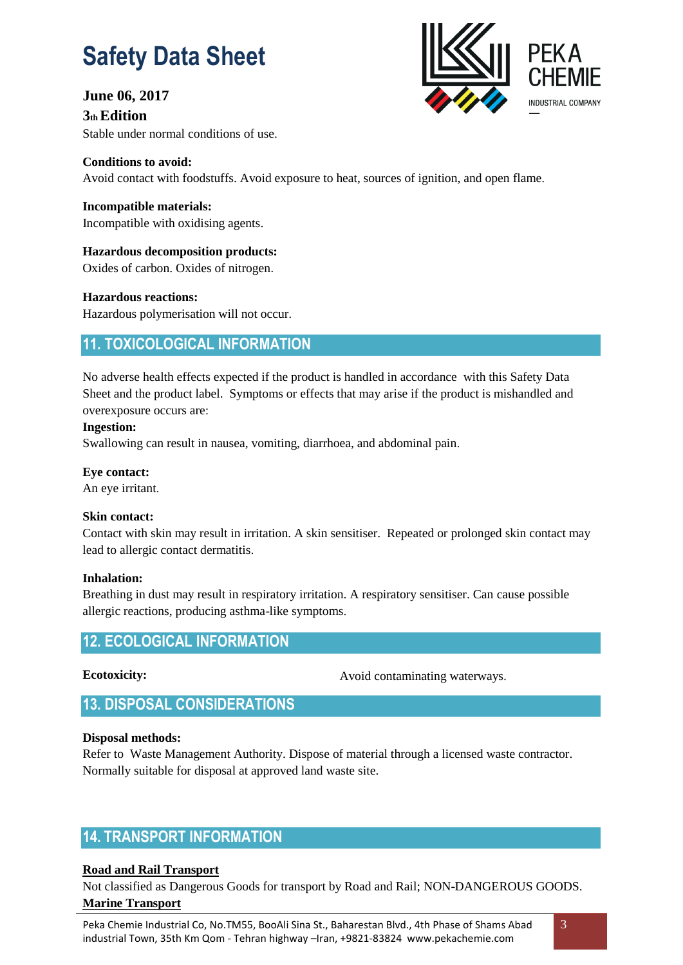## **June 06, 2017**

**3th Edition**  Stable under normal conditions of use.



**Conditions to avoid:**  Avoid contact with foodstuffs. Avoid exposure to heat, sources of ignition, and open flame.

**Incompatible materials:**  Incompatible with oxidising agents.

**Hazardous decomposition products:** Oxides of carbon. Oxides of nitrogen.

**Hazardous reactions:**  Hazardous polymerisation will not occur.

# **11. TOXICOLOGICAL INFORMATION**

No adverse health effects expected if the product is handled in accordance with this Safety Data Sheet and the product label. Symptoms or effects that may arise if the product is mishandled and overexposure occurs are:

## **Ingestion:**

Swallowing can result in nausea, vomiting, diarrhoea, and abdominal pain.

**Eye contact:**  An eye irritant.

## **Skin contact:**

Contact with skin may result in irritation. A skin sensitiser. Repeated or prolonged skin contact may lead to allergic contact dermatitis.

## **Inhalation:**

Breathing in dust may result in respiratory irritation. A respiratory sensitiser. Can cause possible allergic reactions, producing asthma-like symptoms.

## **12. ECOLOGICAL INFORMATION**

**Ecotoxicity:**

Avoid contaminating waterways.

**13. DISPOSAL CONSIDERATIONS**

## **Disposal methods:**

Refer to Waste Management Authority. Dispose of material through a licensed waste contractor. Normally suitable for disposal at approved land waste site.

# **14. TRANSPORT INFORMATION**

## **Road and Rail Transport**

Not classified as Dangerous Goods for transport by Road and Rail; NON-DANGEROUS GOODS. **Marine Transport**

Peka Chemie Industrial Co, No.TM55, BooAli Sina St., Baharestan Blvd., 4th Phase of Shams Abad industrial Town, 35th Km Qom - Tehran highway –Iran, +9821-83824 www.pekachemie.com